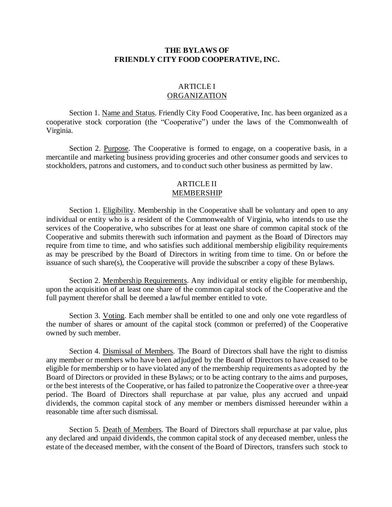### **THE BYLAWS OF FRIENDLY CITY FOOD COOPERATIVE, INC.**

## **ARTICLE I** ORGANIZATION

Section 1. Name and Status. Friendly City Food Cooperative, Inc. has been organized as a cooperative stock corporation (the "Cooperative") under the laws of the Commonwealth of Virginia.

Section 2. Purpose. The Cooperative is formed to engage, on a cooperative basis, in a mercantile and marketing business providing groceries and other consumer goods and services to stockholders, patrons and customers, and to conduct such other business as permitted by law.

### ARTICLE II MEMBERSHIP

Section 1. Eligibility. Membership in the Cooperative shall be voluntary and open to any individual or entity who is a resident of the Commonwealth of Virginia, who intends to use the services of the Cooperative, who subscribes for at least one share of common capital stock of the Cooperative and submits therewith such information and payment as the Board of Directors may require from time to time, and who satisfies such additional membership eligibility requirements as may be prescribed by the Board of Directors in writing from time to time. On or before the issuance of such share(s), the Cooperative will provide the subscriber a copy of these Bylaws.

Section 2. Membership Requirements. Any individual or entity eligible for membership, upon the acquisition of at least one share of the common capital stock of the Cooperative and the full payment therefor shall be deemed a lawful member entitled to vote.

Section 3. Voting. Each member shall be entitled to one and only one vote regardless of the number of shares or amount of the capital stock (common or preferred) of the Cooperative owned by such member.

Section 4. Dismissal of Members. The Board of Directors shall have the right to dismiss any member or members who have been adjudged by the Board of Directors to have ceased to be eligible for membership or to have violated any of the membership requirements as adopted by the Board of Directors or provided in these Bylaws; or to be acting contrary to the aims and purposes, or the best interests of the Cooperative, or has failed to patronize the Cooperative over a three-year period. The Board of Directors shall repurchase at par value, plus any accrued and unpaid dividends, the common capital stock of any member or members dismissed hereunder within a reasonable time after such dismissal.

Section 5. Death of Members. The Board of Directors shall repurchase at par value, plus any declared and unpaid dividends, the common capital stock of any deceased member, unless the estate of the deceased member, with the consent of the Board of Directors, transfers such stock to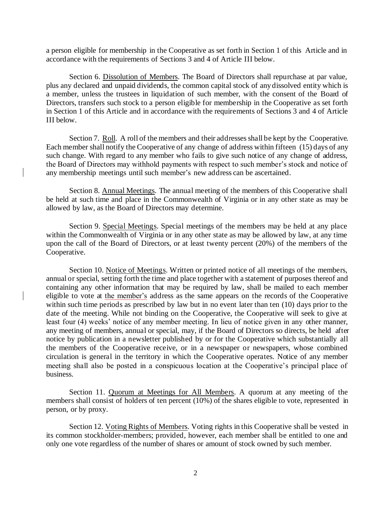a person eligible for membership in the Cooperative as set forth in Section 1 of this Article and in accordance with the requirements of Sections 3 and 4 of Article III below.

Section 6. Dissolution of Members. The Board of Directors shall repurchase at par value, plus any declared and unpaid dividends, the common capital stock of any dissolved entity which is a member, unless the trustees in liquidation of such member, with the consent of the Board of Directors, transfers such stock to a person eligible for membership in the Cooperative as set forth in Section 1 of this Article and in accordance with the requirements of Sections 3 and 4 of Article III below.

Section 7. Roll. A roll of the members and their addresses shall be kept by the Cooperative. Each member shall notify the Cooperative of any change of address within fifteen (15) days of any such change. With regard to any member who fails to give such notice of any change of address, the Board of Directors may withhold payments with respect to such member's stock and notice of any membership meetings until such member's new address can be ascertained.

Section 8. Annual Meetings. The annual meeting of the members of this Cooperative shall be held at such time and place in the Commonwealth of Virginia or in any other state as may be allowed by law, as the Board of Directors may determine.

Section 9. Special Meetings. Special meetings of the members may be held at any place within the Commonwealth of Virginia or in any other state as may be allowed by law, at any time upon the call of the Board of Directors, or at least twenty percent (20%) of the members of the Cooperative.

Section 10. Notice of Meetings. Written or printed notice of all meetings of the members, annual or special, setting forth the time and place together with a statement of purposes thereof and containing any other information that may be required by law, shall be mailed to each member eligible to vote at the member's address as the same appears on the records of the Cooperative within such time periods as prescribed by law but in no event later than ten (10) days prior to the date of the meeting. While not binding on the Cooperative, the Cooperative will seek to give at least four (4) weeks' notice of any member meeting. In lieu of notice given in any other manner, any meeting of members, annual or special, may, if the Board of Directors so directs, be held after notice by publication in a newsletter published by or for the Cooperative which substantially all the members of the Cooperative receive, or in a newspaper or newspapers, whose combined circulation is general in the territory in which the Cooperative operates. Notice of any member meeting shall also be posted in a conspicuous location at the Cooperative's principal place of business.

Section 11. Quorum at Meetings for All Members. A quorum at any meeting of the members shall consist of holders of ten percent (10%) of the shares eligible to vote, represented in person, or by proxy.

Section 12. Voting Rights of Members. Voting rights in this Cooperative shall be vested in its common stockholder-members; provided, however, each member shall be entitled to one and only one vote regardless of the number of shares or amount of stock owned by such member.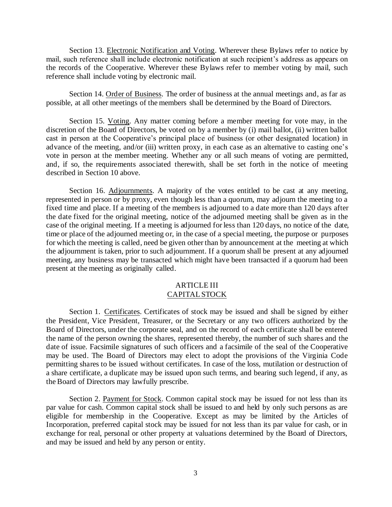Section 13. Electronic Notification and Voting. Wherever these Bylaws refer to notice by mail, such reference shall include electronic notification at such recipient's address as appears on the records of the Cooperative. Wherever these Bylaws refer to member voting by mail, such reference shall include voting by electronic mail.

Section 14. Order of Business. The order of business at the annual meetings and, as far as possible, at all other meetings of the members shall be determined by the Board of Directors.

Section 15. Voting. Any matter coming before a member meeting for vote may, in the discretion of the Board of Directors, be voted on by a member by (i) mail ballot, (ii) written ballot cast in person at the Cooperative's principal place of business (or other designated location) in advance of the meeting, and/or (iii) written proxy, in each case as an alternative to casting one's vote in person at the member meeting. Whether any or all such means of voting are permitted, and, if so, the requirements associated therewith, shall be set forth in the notice of meeting described in Section 10 above.

Section 16. Adjournments. A majority of the votes entitled to be cast at any meeting, represented in person or by proxy, even though less than a quorum, may adjourn the meeting to a fixed time and place. If a meeting of the members is adjourned to a date more than 120 days after the date fixed for the original meeting, notice of the adjourned meeting shall be given as in the case of the original meeting. If a meeting is adjourned for less than 120 days, no notice of the date, time or place of the adjourned meeting or, in the case of a special meeting, the purpose or purposes for which the meeting is called, need be given other than by announcement at the meeting at which the adjournment is taken, prior to such adjournment. If a quorum shall be present at any adjourned meeting, any business may be transacted which might have been transacted if a quorum had been present at the meeting as originally called.

### ARTICLE III CAPITALSTOCK

Section 1. Certificates. Certificates of stock may be issued and shall be signed by either the President, Vice President, Treasurer, or the Secretary or any two officers authorized by the Board of Directors, under the corporate seal, and on the record of each certificate shall be entered the name of the person owning the shares, represented thereby, the number of such shares and the date of issue. Facsimile signatures of such officers and a facsimile of the seal of the Cooperative may be used. The Board of Directors may elect to adopt the provisions of the Virginia Code permitting shares to be issued without certificates. In case of the loss, mutilation or destruction of a share certificate, a duplicate may be issued upon such terms, and bearing such legend, if any, as the Board of Directors may lawfully prescribe.

Section 2. Payment for Stock. Common capital stock may be issued for not less than its par value for cash. Common capital stock shall be issued to and held by only such persons as are eligible for membership in the Cooperative. Except as may be limited by the Articles of Incorporation, preferred capital stock may be issued for not less than its par value for cash, or in exchange for real, personal or other property at valuations determined by the Board of Directors, and may be issued and held by any person or entity.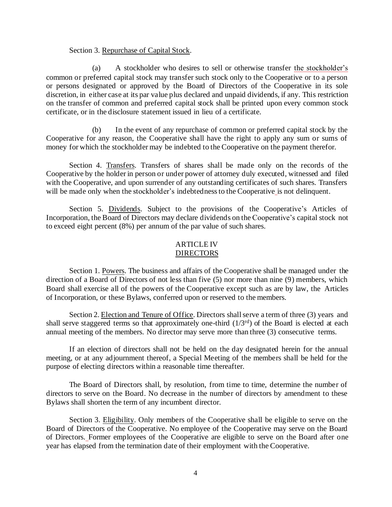#### Section 3. Repurchase of Capital Stock.

(a) A stockholder who desires to sell or otherwise transfer the stockholder's common or preferred capital stock may transfer such stock only to the Cooperative or to a person or persons designated or approved by the Board of Directors of the Cooperative in its sole discretion, in either case at its par value plus declared and unpaid dividends, if any. This restriction on the transfer of common and preferred capital stock shall be printed upon every common stock certificate, or in the disclosure statement issued in lieu of a certificate.

(b) In the event of any repurchase of common or preferred capital stock by the Cooperative for any reason, the Cooperative shall have the right to apply any sum or sums of money for which the stockholder may be indebted to the Cooperative on the payment therefor.

Section 4. Transfers. Transfers of shares shall be made only on the records of the Cooperative by the holder in person or under power of attorney duly executed, witnessed and filed with the Cooperative, and upon surrender of any outstanding certificates of such shares. Transfers will be made only when the stockholder's indebtedness to the Cooperative is not delinquent.

Section 5. Dividends. Subject to the provisions of the Cooperative's Articles of Incorporation, the Board of Directors may declare dividends on the Cooperative's capital stock not to exceed eight percent (8%) per annum of the par value of such shares.

#### ARTICLE IV DIRECTORS

Section 1. Powers. The business and affairs of the Cooperative shall be managed under the direction of a Board of Directors of not less than five (5) nor more than nine (9) members, which Board shall exercise all of the powers of the Cooperative except such as are by law, the Articles of Incorporation, or these Bylaws, conferred upon or reserved to the members.

Section 2. Election and Tenure of Office. Directors shall serve a term of three (3) years and shall serve staggered terms so that approximately one-third (1/3<sup>rd</sup>) of the Board is elected at each annual meeting of the members. No director may serve more than three (3) consecutive terms.

If an election of directors shall not be held on the day designated herein for the annual meeting, or at any adjournment thereof, a Special Meeting of the members shall be held for the purpose of electing directors within a reasonable time thereafter.

The Board of Directors shall, by resolution, from time to time, determine the number of directors to serve on the Board. No decrease in the number of directors by amendment to these Bylaws shall shorten the term of any incumbent director.

Section 3. Eligibility. Only members of the Cooperative shall be eligible to serve on the Board of Directors of the Cooperative. No employee of the Cooperative may serve on the Board of Directors. Former employees of the Cooperative are eligible to serve on the Board after one year has elapsed from the termination date of their employment with the Cooperative.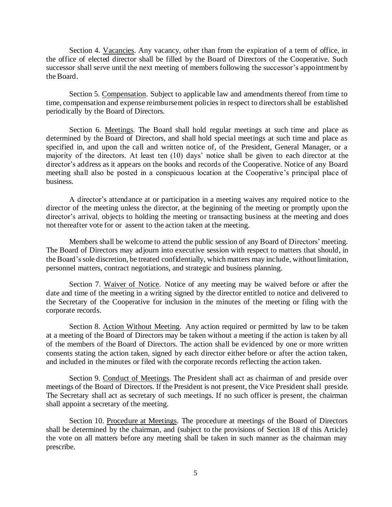Section 4. Vacancies. Any vacancy, other than from the expiration of a term of office, in the office of elected director shall be filled by the Board of Directors of the Cooperative. Such successor shall serve until the next meeting of members following the successor's appointment by the Board.

Section 5. Compensation. Subject to applicable law and amendments thereof from time to time, compensation and expense reimbursement policies in respect to directorsshall be established periodically by the Board of Directors.

Section 6. Meetings. The Board shall hold regular meetings at such time and place as determined by the Board of Directors, and shall hold special meetings at such time and place as specified in, and upon the call and written notice of, of the President, General Manager, or a majority of the directors. At least ten (10) days' notice shall be given to each director at the director's address as it appears on the books and records of the Cooperative. Notice of any Board meeting shall also be posted in a conspicuous location at the Cooperative's principal place of business.

A director's attendance at or participation in a meeting waives any required notice to the director of the meeting unless the director, at the beginning of the meeting or promptly upon the director's arrival, objects to holding the meeting or transacting business at the meeting and does not thereafter vote for or assent to the action taken at the meeting.

Members shall be welcome to attend the public session of any Board of Directors' meeting. The Board of Directors may adjourn into executive session with respect to matters that should, in the Board'ssole discretion, be treated confidentially, which matters may include, withoutlimitation, personnel matters, contract negotiations, and strategic and business planning.

Section 7. Waiver of Notice. Notice of any meeting may be waived before or after the date and time of the meeting in a writing signed by the director entitled to notice and delivered to the Secretary of the Cooperative for inclusion in the minutes of the meeting or filing with the corporate records.

Section 8. Action Without Meeting. Any action required or permitted by law to be taken at a meeting of the Board of Directors may be taken without a meeting if the action is taken by all of the members of the Board of Directors. The action shall be evidenced by one or more written consents stating the action taken, signed by each director either before or after the action taken, and included in the minutes or filed with the corporate records reflecting the action taken.

Section 9. Conduct of Meetings. The President shall act as chairman of and preside over meetings of the Board of Directors. If the President is not present, the Vice President shall preside. The Secretary shall act as secretary of such meetings. If no such officer is present, the chairman shall appoint a secretary of the meeting.

Section 10. Procedure at Meetings. The procedure at meetings of the Board of Directors shall be determined by the chairman, and (subject to the provisions of Section 18 of this Article) the vote on all matters before any meeting shall be taken in such manner as the chairman may prescribe.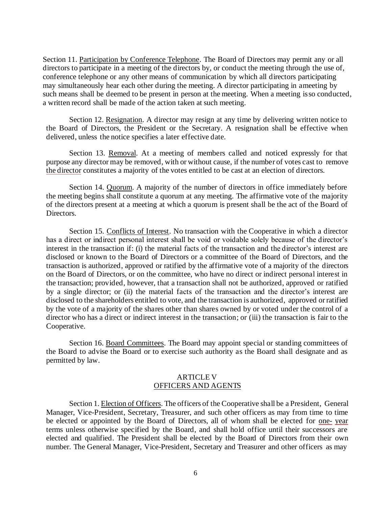Section 11. Participation by Conference Telephone. The Board of Directors may permit any or all directors to participate in a meeting of the directors by, or conduct the meeting through the use of, conference telephone or any other means of communication by which all directors participating may simultaneously hear each other during the meeting. A director participating in ameeting by such means shall be deemed to be present in person at the meeting. When a meeting isso conducted, a written record shall be made of the action taken at such meeting.

Section 12. Resignation. A director may resign at any time by delivering written notice to the Board of Directors, the President or the Secretary. A resignation shall be effective when delivered, unless the notice specifies a later effective date.

Section 13. Removal. At a meeting of members called and noticed expressly for that purpose any director may be removed, with or without cause, if the number of votes cast to remove the director constitutes a majority of the votes entitled to be cast at an election of directors.

Section 14. Quorum. A majority of the number of directors in office immediately before the meeting begins shall constitute a quorum at any meeting. The affirmative vote of the majority of the directors present at a meeting at which a quorum is present shall be the act of the Board of Directors.

Section 15. Conflicts of Interest. No transaction with the Cooperative in which a director has a direct or indirect personal interest shall be void or voidable solely because of the director's interest in the transaction if: (i) the material facts of the transaction and the director's interest are disclosed or known to the Board of Directors or a committee of the Board of Directors, and the transaction is authorized, approved or ratified by the affirmative vote of a majority of the directors on the Board of Directors, or on the committee, who have no direct or indirect personal interest in the transaction; provided, however, that a transaction shall not be authorized, approved or ratified by a single director; or (ii) the material facts of the transaction and the director's interest are disclosed to the shareholders entitled to vote, and the transaction is authorized, approved or ratified by the vote of a majority of the shares other than shares owned by or voted under the control of a director who has a direct or indirect interest in the transaction; or (iii) the transaction is fair to the Cooperative.

Section 16. Board Committees. The Board may appoint special or standing committees of the Board to advise the Board or to exercise such authority as the Board shall designate and as permitted by law.

### ARTICLE V OFFICERS AND AGENTS

Section 1. Election of Officers. The officers of the Cooperative shall be a President, General Manager, Vice-President, Secretary, Treasurer, and such other officers as may from time to time be elected or appointed by the Board of Directors, all of whom shall be elected for one- year terms unless otherwise specified by the Board, and shall hold office until their successors are elected and qualified. The President shall be elected by the Board of Directors from their own number. The General Manager, Vice-President, Secretary and Treasurer and other officers as may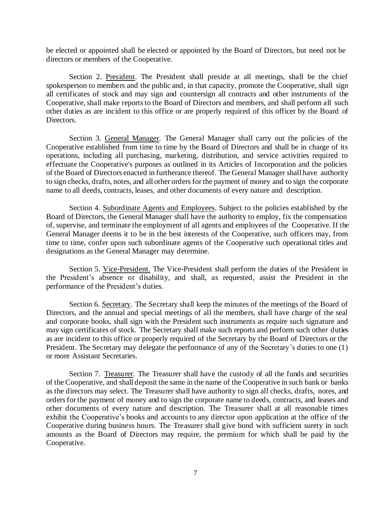be elected or appointed shall be elected or appointed by the Board of Directors, but need not be directors or members of the Cooperative.

Section 2. President. The President shall preside at all meetings, shall be the chief spokesperson to members and the public and, in that capacity, promote the Cooperative, shall sign all certificates of stock and may sign and countersign all contracts and other instruments of the Cooperative, shall make reports to the Board of Directors and members, and shall perform all such other duties as are incident to this office or are properly required of this officer by the Board of Directors.

Section 3. General Manager. The General Manager shall carry out the policies of the Cooperative established from time to time by the Board of Directors and shall be in charge of its operations, including all purchasing, marketing, distribution, and service activities required to effectuate the Cooperative's purposes as outlined in its Articles of Incorporation and the policies of the Board of Directors enacted in furtherance thereof. The General Manager shall have authority to sign checks, drafts, notes, and all other orders for the payment of money and to sign the corporate name to all deeds, contracts, leases, and other documents of every nature and description.

Section 4. Subordinate Agents and Employees. Subject to the policies established by the Board of Directors, the General Manager shall have the authority to employ, fix the compensation of,supervise, and terminate the employment of all agents and employees of the Cooperative. If the General Manager deems it to be in the best interests of the Cooperative, such officers may, from time to time, confer upon such subordinate agents of the Cooperative such operational titles and designations as the General Manager may determine.

Section 5. Vice-President. The Vice-President shall perform the duties of the President in the President's absence or disability, and shall, as requested, assist the President in the performance of the President's duties.

Section 6. Secretary. The Secretary shall keep the minutes of the meetings of the Board of Directors, and the annual and special meetings of all the members, shall have charge of the seal and corporate books, shall sign with the President such instruments as require such signature and may sign certificates of stock. The Secretary shall make such reports and perform such other duties as are incident to this office or properly required of the Secretary by the Board of Directors or the President. The Secretary may delegate the performance of any of the Secretary's duties to one (1) or more Assistant Secretaries.

Section 7. Treasurer. The Treasurer shall have the custody of all the funds and securities of the Cooperative, and shall deposit the same in the name of the Cooperative in such bank or banks as the directors may select. The Treasurer shall have authority to sign all checks, drafts, notes, and ordersfor the payment of money and to sign the corporate name to deeds, contracts, and leases and other documents of every nature and description. The Treasurer shall at all reasonable times exhibit the Cooperative's books and accounts to any director upon application at the office of the Cooperative during business hours. The Treasurer shall give bond with sufficient surety in such amounts as the Board of Directors may require, the premium for which shall be paid by the Cooperative.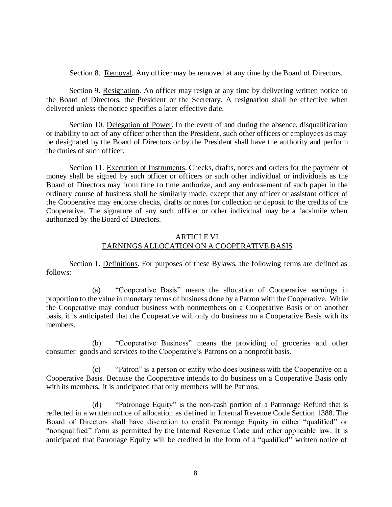Section 8. Removal. Any officer may be removed at any time by the Board of Directors.

Section 9. Resignation. An officer may resign at any time by delivering written notice to the Board of Directors, the President or the Secretary. A resignation shall be effective when delivered unless the notice specifies a later effective date.

Section 10. Delegation of Power. In the event of and during the absence, disqualification or inability to act of any officer other than the President, such other officers or employees as may be designated by the Board of Directors or by the President shall have the authority and perform the duties of such officer.

Section 11. Execution of Instruments. Checks, drafts, notes and orders for the payment of money shall be signed by such officer or officers or such other individual or individuals as the Board of Directors may from time to time authorize, and any endorsement of such paper in the ordinary course of business shall be similarly made, except that any officer or assistant officer of the Cooperative may endorse checks, drafts or notes for collection or deposit to the credits of the Cooperative. The signature of any such officer or other individual may be a facsimile when authorized by the Board of Directors.

# ARTICLE VI EARNINGS ALLOCATION ON A COOPERATIVE BASIS

Section 1. Definitions. For purposes of these Bylaws, the following terms are defined as follows:

(a) "Cooperative Basis" means the allocation of Cooperative earnings in proportion to the value in monetary terms of business done by a Patron with the Cooperative. While the Cooperative may conduct business with nonmembers on a Cooperative Basis or on another basis, it is anticipated that the Cooperative will only do business on a Cooperative Basis with its members.

(b) "Cooperative Business" means the providing of groceries and other consumer goods and services to the Cooperative's Patrons on a nonprofit basis.

(c) "Patron" is a person or entity who does business with the Cooperative on a Cooperative Basis. Because the Cooperative intends to do business on a Cooperative Basis only with its members, it is anticipated that only members will be Patrons.

(d) "Patronage Equity" is the non-cash portion of a Patronage Refund that is reflected in a written notice of allocation as defined in Internal Revenue Code Section 1388. The Board of Directors shall have discretion to credit Patronage Equity in either "qualified" or "nonqualified" form as permitted by the Internal Revenue Code and other applicable law. It is anticipated that Patronage Equity will be credited in the form of a "qualified" written notice of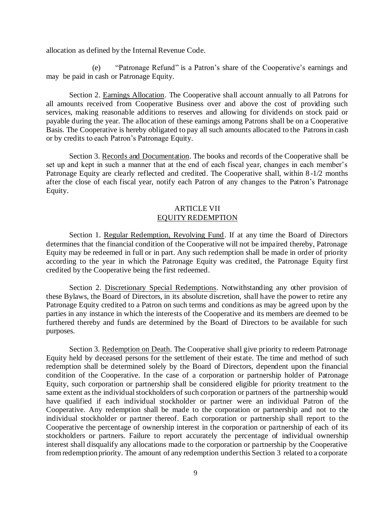allocation as defined by the Internal Revenue Code.

(e) "Patronage Refund" is a Patron's share of the Cooperative's earnings and may be paid in cash or Patronage Equity.

Section 2. Earnings Allocation. The Cooperative shall account annually to all Patrons for all amounts received from Cooperative Business over and above the cost of providing such services, making reasonable additions to reserves and allowing for dividends on stock paid or payable during the year. The allocation of these earnings among Patrons shall be on a Cooperative Basis. The Cooperative is hereby obligated to pay all such amounts allocated to the Patronsin cash or by credits to each Patron's Patronage Equity.

Section 3. Records and Documentation. The books and records of the Cooperative shall be set up and kept in such a manner that at the end of each fiscal year, changes in each member's Patronage Equity are clearly reflected and credited. The Cooperative shall, within 8 -1/2 months after the close of each fiscal year, notify each Patron of any changes to the Patron's Patronage Equity.

## ARTICLE VII EQUITY REDEMPTION

Section 1. Regular Redemption, Revolving Fund. If at any time the Board of Directors determines that the financial condition of the Cooperative will not be impaired thereby, Patronage Equity may be redeemed in full or in part. Any such redemption shall be made in order of priority according to the year in which the Patronage Equity was credited, the Patronage Equity first credited by the Cooperative being the first redeemed.

Section 2. Discretionary Special Redemptions. Notwithstanding any other provision of these Bylaws, the Board of Directors, in its absolute discretion, shall have the power to retire any Patronage Equity credited to a Patron on such terms and conditions as may be agreed upon by the parties in any instance in which the interests of the Cooperative and its members are deemed to be furthered thereby and funds are determined by the Board of Directors to be available for such purposes.

Section 3. Redemption on Death. The Cooperative shall give priority to redeem Patronage Equity held by deceased persons for the settlement of their estate. The time and method of such redemption shall be determined solely by the Board of Directors, dependent upon the financial condition of the Cooperative. In the case of a corporation or partnership holder of Patronage Equity, such corporation or partnership shall be considered eligible for priority treatment to the same extent as the individual stockholders of such corporation or partners of the partnership would have qualified if each individual stockholder or partner were an individual Patron of the Cooperative. Any redemption shall be made to the corporation or partnership and not to the individual stockholder or partner thereof. Each corporation or partnership shall report to the Cooperative the percentage of ownership interest in the corporation or partnership of each of its stockholders or partners. Failure to report accurately the percentage of individual ownership interest shall disqualify any allocations made to the corporation or partnership by the Cooperative from redemption priority. The amount of any redemption underthis Section 3 related to a corporate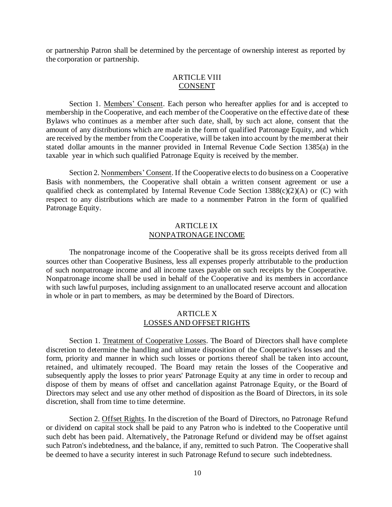or partnership Patron shall be determined by the percentage of ownership interest as reported by the corporation or partnership.

### ARTICLE VIII CONSENT

Section 1. Members' Consent. Each person who hereafter applies for and is accepted to membership in the Cooperative, and each member of the Cooperative on the effective date of these Bylaws who continues as a member after such date, shall, by such act alone, consent that the amount of any distributions which are made in the form of qualified Patronage Equity, and which are received by the member from the Cooperative, will be taken into account by the memberat their stated dollar amounts in the manner provided in Internal Revenue Code Section 1385(a) in the taxable year in which such qualified Patronage Equity is received by the member.

Section 2. Nonmembers' Consent. If the Cooperative elects to do business on a Cooperative Basis with nonmembers, the Cooperative shall obtain a written consent agreement or use a qualified check as contemplated by Internal Revenue Code Section  $1388(c)(2)(A)$  or (C) with respect to any distributions which are made to a nonmember Patron in the form of qualified Patronage Equity.

### ARTICLE IX NONPATRONAGE INCOME

The nonpatronage income of the Cooperative shall be its gross receipts derived from all sources other than Cooperative Business, less all expenses properly attributable to the production of such nonpatronage income and all income taxes payable on such receipts by the Cooperative. Nonpatronage income shall be used in behalf of the Cooperative and its members in accordance with such lawful purposes, including assignment to an unallocated reserve account and allocation in whole or in part to members, as may be determined by the Board of Directors.

## ARTICLE X LOSSES AND OFFSETRIGHTS

Section 1. Treatment of Cooperative Losses. The Board of Directors shall have complete discretion to determine the handling and ultimate disposition of the Cooperative's losses and the form, priority and manner in which such losses or portions thereof shall be taken into account, retained, and ultimately recouped. The Board may retain the losses of the Cooperative and subsequently apply the losses to prior years' Patronage Equity at any time in order to recoup and dispose of them by means of offset and cancellation against Patronage Equity, or the Board of Directors may select and use any other method of disposition as the Board of Directors, in its sole discretion, shall from time to time determine.

Section 2. Offset Rights. In the discretion of the Board of Directors, no Patronage Refund or dividend on capital stock shall be paid to any Patron who is indebted to the Cooperative until such debt has been paid. Alternatively, the Patronage Refund or dividend may be offset against such Patron's indebtedness, and the balance, if any, remitted to such Patron. The Cooperative shall be deemed to have a security interest in such Patronage Refund to secure such indebtedness.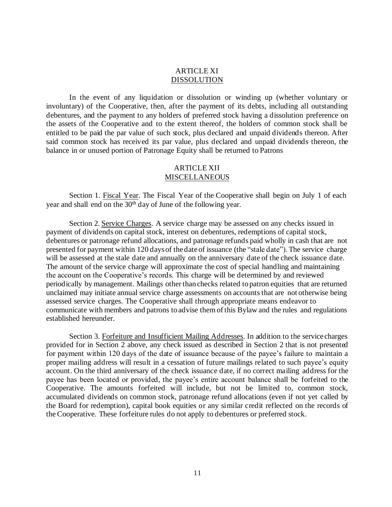### ARTICLE XI DISSOLUTION

In the event of any liquidation or dissolution or winding up (whether voluntary or involuntary) of the Cooperative, then, after the payment of its debts, including all outstanding debentures, and the payment to any holders of preferred stock having a dissolution preference on the assets of the Cooperative and to the extent thereof, the holders of common stock shall be entitled to be paid the par value of such stock, plus declared and unpaid dividends thereon. After said common stock has received its par value, plus declared and unpaid dividends thereon, the balance in or unused portion of Patronage Equity shall be returned to Patrons

# ARTICLE XII MISCELLANEOUS

Section 1. Fiscal Year. The Fiscal Year of the Cooperative shall begin on July 1 of each year and shall end on the 30<sup>th</sup> day of June of the following year.

Section 2. Service Charges. A service charge may be assessed on any checks issued in payment of dividends on capital stock, interest on debentures, redemptions of capital stock, debentures or patronage refund allocations, and patronage refunds paid wholly in cash that are not presented for payment within 120 daysof thedateof issuance (the "stale date"). The service charge will be assessed at the stale date and annually on the anniversary date of the check issuance date. The amount of the service charge will approximate the cost of special handling and maintaining the account on the Cooperative's records. This charge will be determined by and reviewed periodically by management. Mailings other than checks related to patron equities that are returned unclaimed may initiate annual service charge assessments on accounts that are not otherwise being assessed service charges. The Cooperative shall through appropriate means endeavor to communicate with members and patrons to advise them of this Bylaw and the rules and regulations established hereunder.

Section 3. Forfeiture and Insufficient Mailing Addresses. In addition to the service charges provided for in Section 2 above, any check issued as described in Section 2 that is not presented for payment within 120 days of the date of issuance because of the payee's failure to maintain a proper mailing address will result in a cessation of future mailings related to such payee's equity account. On the third anniversary of the check issuance date, if no correct mailing address for the payee has been located or provided, the payee's entire account balance shall be forfeited to the Cooperative. The amounts forfeited will include, but not be limited to, common stock, accumulated dividends on common stock, patronage refund allocations (even if not yet called by the Board for redemption), capital book equities or any similar credit reflected on the records of the Cooperative. These forfeiture rules do not apply to debentures or preferred stock.